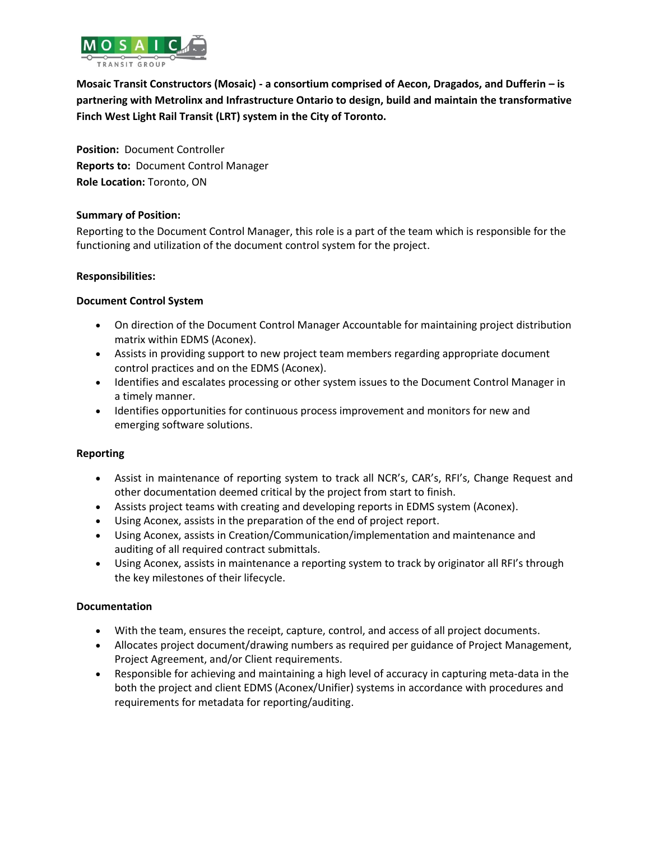

**Mosaic Transit Constructors (Mosaic) - a consortium comprised of Aecon, Dragados, and Dufferin – is partnering with Metrolinx and Infrastructure Ontario to design, build and maintain the transformative Finch West Light Rail Transit (LRT) system in the City of Toronto.**

**Position:** Document Controller **Reports to:** Document Control Manager **Role Location:** Toronto, ON

# **Summary of Position:**

Reporting to the Document Control Manager, this role is a part of the team which is [responsible for the](javascript:void(0);)  [functioning and utilization of the document control system for the project.](javascript:void(0);)

# **Responsibilities:**

# **Document Control System**

- On direction of the Document Control Manager Accountable for maintaining project distribution matrix within EDMS (Aconex).
- Assists in providing support to new project team members regarding appropriate document control practices and on the EDMS (Aconex).
- Identifies and escalates processing or other system issues to the Document Control Manager in a timely manner.
- Identifies opportunities for continuous process improvement and monitors for new and emerging software solutions.

## **Reporting**

- Assist in maintenance of reporting system to track all NCR's, CAR's, RFI's, Change Request and other documentation deemed critical by the project from start to finish.
- Assists project teams with creating and developing reports in EDMS system (Aconex).
- Using Aconex, assists in the preparation of the end of project report.
- Using Aconex, assists in Creation/Communication/implementation and maintenance and auditing of all required contract submittals.
- Using Aconex, assists in maintenance a reporting system to track by originator all RFI's through the key milestones of their lifecycle.

## **Documentation**

- With the team, ensures the receipt, capture, control, and access of all project documents.
- Allocates project document/drawing numbers as required per guidance of Project Management, Project Agreement, and/or Client requirements.
- Responsible for achieving and maintaining a high level of accuracy in capturing meta-data in the both the project and client EDMS (Aconex/Unifier) systems in accordance with procedures and requirements for metadata for reporting/auditing.